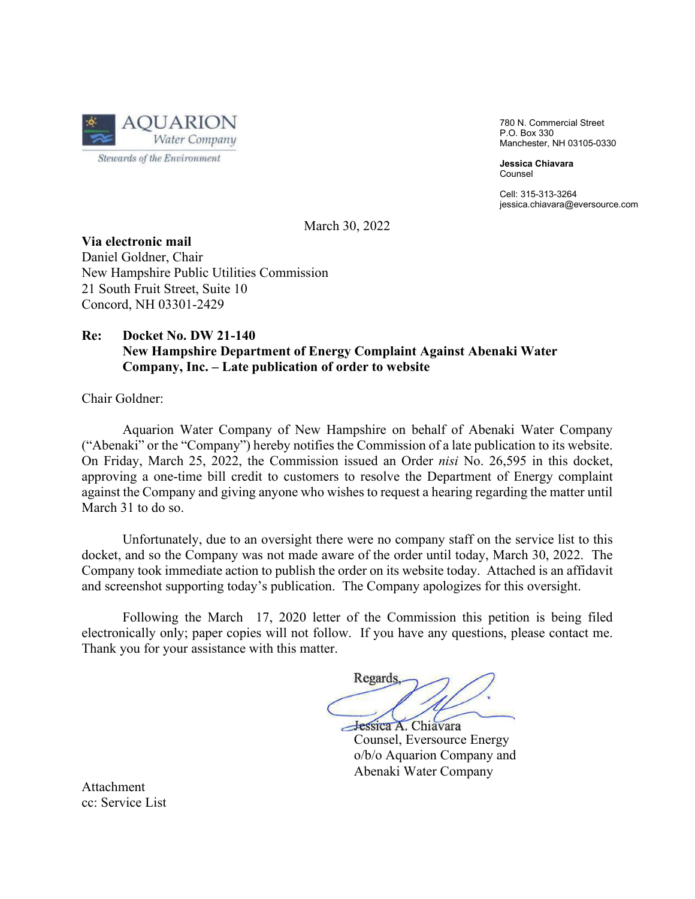

780 N. Commercial Street P.O. Box 330 Manchester, NH 03105-0330

**Jessica Chiavara** Counsel

Cell: 315-313-3264 jessica.chiavara@eversource.com

March 30, 2022

**Via electronic mail** Daniel Goldner, Chair New Hampshire Public Utilities Commission 21 South Fruit Street, Suite 10 Concord, NH 03301-2429

# **Re: Docket No. DW 21-140 New Hampshire Department of Energy Complaint Against Abenaki Water Company, Inc. – Late publication of order to website**

Chair Goldner:

Aquarion Water Company of New Hampshire on behalf of Abenaki Water Company ("Abenaki" or the "Company") hereby notifies the Commission of a late publication to its website. On Friday, March 25, 2022, the Commission issued an Order *nisi* No. 26,595 in this docket, approving a one-time bill credit to customers to resolve the Department of Energy complaint against the Company and giving anyone who wishes to request a hearing regarding the matter until March 31 to do so.

Unfortunately, due to an oversight there were no company staff on the service list to this docket, and so the Company was not made aware of the order until today, March 30, 2022. The Company took immediate action to publish the order on its website today. Attached is an affidavit and screenshot supporting today's publication. The Company apologizes for this oversight.

Following the March 17, 2020 letter of the Commission this petition is being filed electronically only; paper copies will not follow. If you have any questions, please contact me. Thank you for your assistance with this matter.

Regards

Hessica A. Chiavara<br>Counsel, Eversource Energy o/b/o Aquarion Company and Abenaki Water Company

Attachment cc: Service List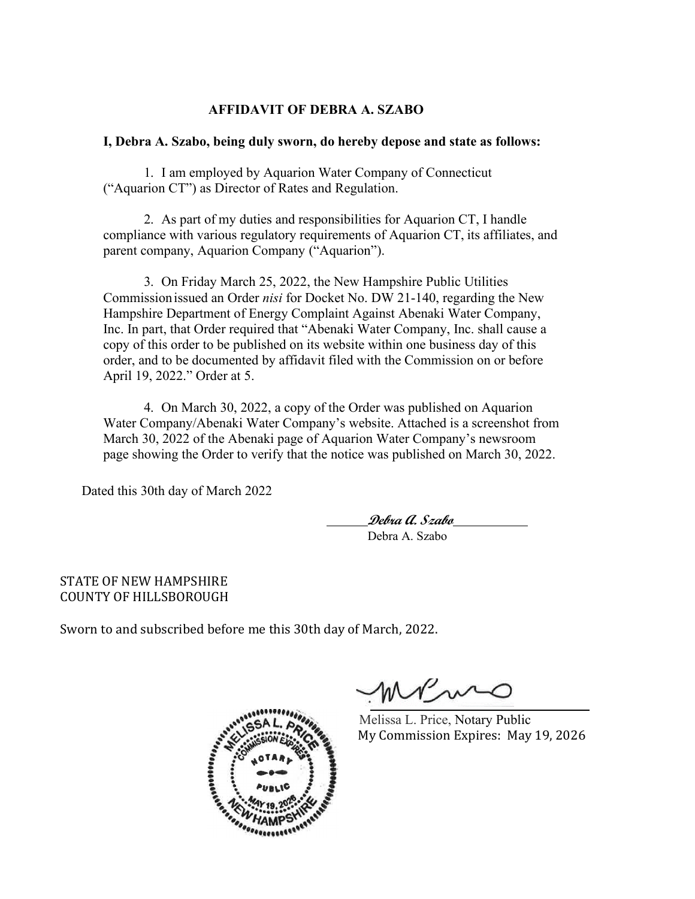# **AFFIDAVIT OF DEBRA A. SZABO**

## **I, Debra A. Szabo, being duly sworn, do hereby depose and state as follows:**

1. I am employed by Aquarion Water Company of Connecticut ("Aquarion CT") as Director of Rates and Regulation.

2. As part of my duties and responsibilities for Aquarion CT, I handle compliance with various regulatory requirements of Aquarion CT, its affiliates, and parent company, Aquarion Company ("Aquarion").

3. On Friday March 25, 2022, the New Hampshire Public Utilities Commissionissued an Order *nisi* for Docket No. DW 21-140, regarding the New Hampshire Department of Energy Complaint Against Abenaki Water Company, Inc. In part, that Order required that "Abenaki Water Company, Inc. shall cause a copy of this order to be published on its website within one business day of this order, and to be documented by affidavit filed with the Commission on or before April 19, 2022." Order at 5.

4. On March 30, 2022, a copy of the Order was published on Aquarion Water Company/Abenaki Water Company's website. Attached is a screenshot from March 30, 2022 of the Abenaki page of Aquarion Water Company's newsroom page showing the Order to verify that the notice was published on March 30, 2022.

Dated this 30th day of March 2022

**Debra A. Szabo** Debra A. Szabo

STATE OF NEW HAMPSHIRE COUNTY OF HILLSBOROUGH

Sworn to and subscribed before me this 30th day of March, 2022.



 $N \wedge N$ 

Melissa L. Price, Notary Public My Commission Expires: May 19, 2026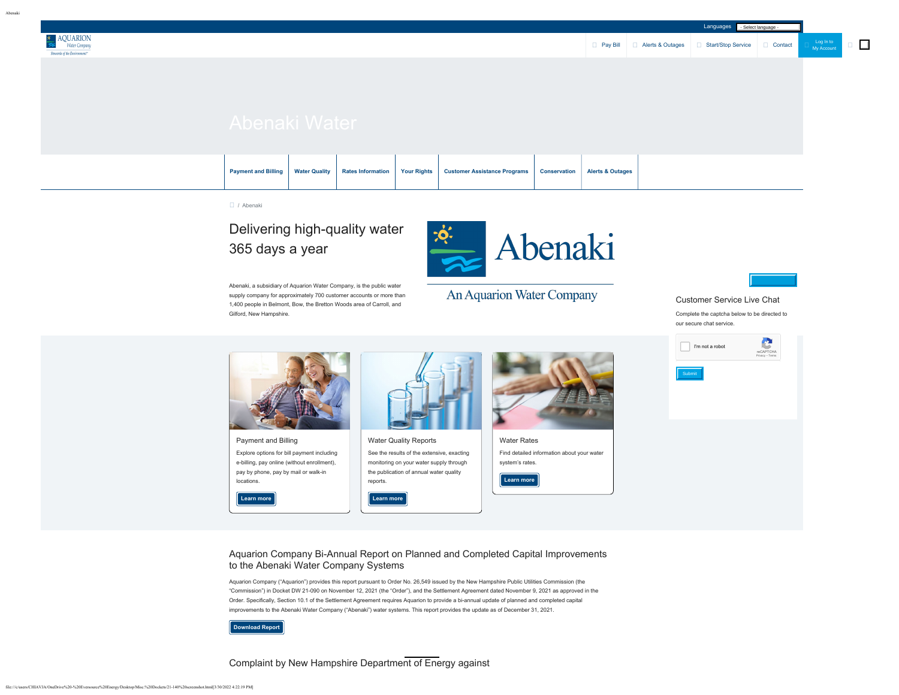Abenaki

Log In to<br>[My Account](https://www.aquarionwater.com/myaccount-login)

 $\Box$ 



### / Abenaki

# Delivering high-quality water 365 days a year

Abenaki, a subsidiary of Aquarion Water Company, is the public water supply company for approximately 700 customer accounts or more than 1,400 people in Belmont, Bow, the Bretton Woods area of Carroll, and Gilford, New Hampshire.



An Aquarion Water Company



Customer Service Live Chat Complete the captcha below to be directed to

our secure chat service.





## Aquarion Company Bi-Annual Report on Planned and Completed Capital Improvements to the Abenaki Water Company Systems

Aquarion Company ("Aquarion") provides this report pursuant to Order No. 26,549 issued by the New Hampshire Public Utilities Commission (the "Commission") in Docket DW 21-090 on November 12, 2021 (the "Order"), and the Settlement Agreement dated November 9, 2021 as approved in the Order. Specifically, Section 10.1 of the Settlement Agreement requires Aquarion to provide a bi-annual update of planned and completed capital improvements to the Abenaki Water Company ("Abenaki") water systems. This report provides the update as of December 31, 2021.

**[Download Report](https://www.aquarionwater.com/docs/default-source/default-document-library/abenaki/22.01.14-abenaki-doe-report.pdf)**

Complaint by New Hampshire Department of Energy against